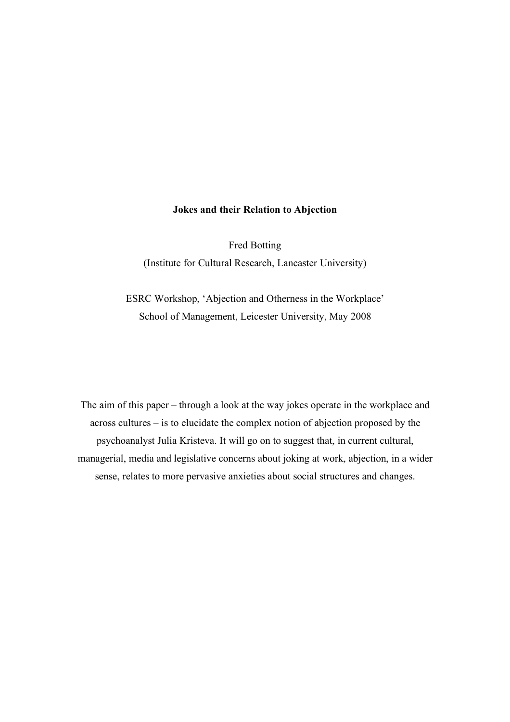#### **Jokes and their Relation to Abjection**

Fred Botting (Institute for Cultural Research, Lancaster University)

ESRC Workshop, 'Abjection and Otherness in the Workplace' School of Management, Leicester University, May 2008

The aim of this paper – through a look at the way jokes operate in the workplace and across cultures – is to elucidate the complex notion of abjection proposed by the psychoanalyst Julia Kristeva. It will go on to suggest that, in current cultural, managerial, media and legislative concerns about joking at work, abjection, in a wider sense, relates to more pervasive anxieties about social structures and changes.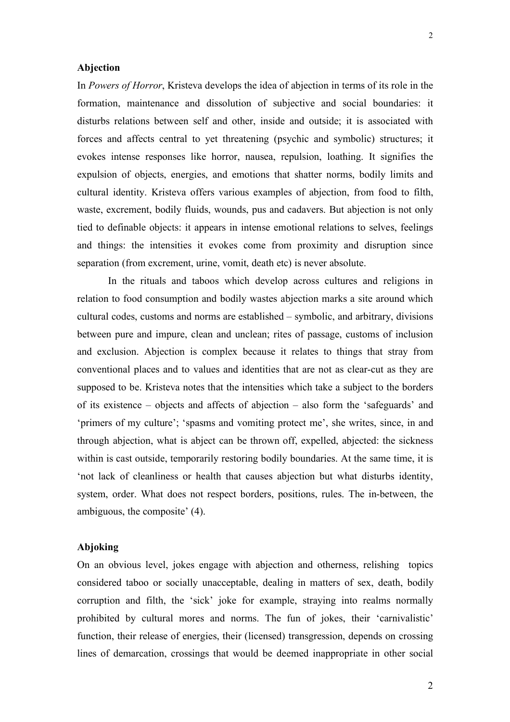#### **Abjection**

In *Powers of Horror*, Kristeva develops the idea of abjection in terms of its role in the formation, maintenance and dissolution of subjective and social boundaries: it disturbs relations between self and other, inside and outside; it is associated with forces and affects central to yet threatening (psychic and symbolic) structures; it evokes intense responses like horror, nausea, repulsion, loathing. It signifies the expulsion of objects, energies, and emotions that shatter norms, bodily limits and cultural identity. Kristeva offers various examples of abjection, from food to filth, waste, excrement, bodily fluids, wounds, pus and cadavers. But abjection is not only tied to definable objects: it appears in intense emotional relations to selves, feelings and things: the intensities it evokes come from proximity and disruption since separation (from excrement, urine, vomit, death etc) is never absolute.

In the rituals and taboos which develop across cultures and religions in relation to food consumption and bodily wastes abjection marks a site around which cultural codes, customs and norms are established – symbolic, and arbitrary, divisions between pure and impure, clean and unclean; rites of passage, customs of inclusion and exclusion. Abjection is complex because it relates to things that stray from conventional places and to values and identities that are not as clear-cut as they are supposed to be. Kristeva notes that the intensities which take a subject to the borders of its existence – objects and affects of abjection – also form the 'safeguards' and 'primers of my culture'; 'spasms and vomiting protect me', she writes, since, in and through abjection, what is abject can be thrown off, expelled, abjected: the sickness within is cast outside, temporarily restoring bodily boundaries. At the same time, it is 'not lack of cleanliness or health that causes abjection but what disturbs identity, system, order. What does not respect borders, positions, rules. The in-between, the ambiguous, the composite' (4).

# **Abjoking**

On an obvious level, jokes engage with abjection and otherness, relishing topics considered taboo or socially unacceptable, dealing in matters of sex, death, bodily corruption and filth, the 'sick' joke for example, straying into realms normally prohibited by cultural mores and norms. The fun of jokes, their 'carnivalistic' function, their release of energies, their (licensed) transgression, depends on crossing lines of demarcation, crossings that would be deemed inappropriate in other social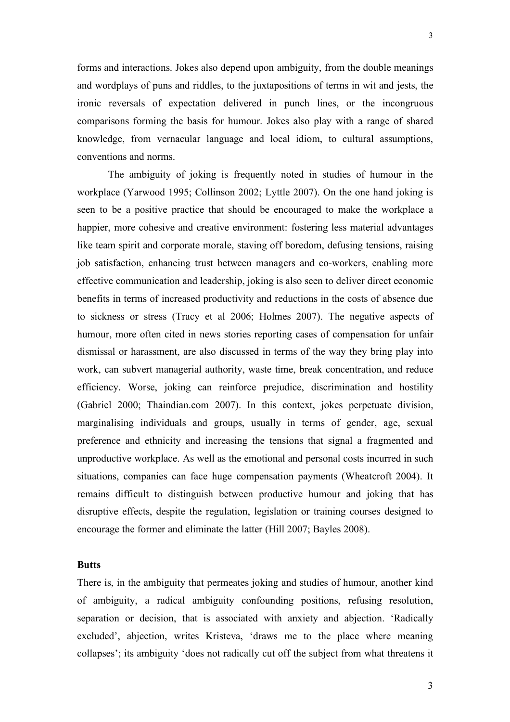forms and interactions. Jokes also depend upon ambiguity, from the double meanings and wordplays of puns and riddles, to the juxtapositions of terms in wit and jests, the ironic reversals of expectation delivered in punch lines, or the incongruous comparisons forming the basis for humour. Jokes also play with a range of shared knowledge, from vernacular language and local idiom, to cultural assumptions, conventions and norms.

The ambiguity of joking is frequently noted in studies of humour in the workplace (Yarwood 1995; Collinson 2002; Lyttle 2007). On the one hand joking is seen to be a positive practice that should be encouraged to make the workplace a happier, more cohesive and creative environment: fostering less material advantages like team spirit and corporate morale, staving off boredom, defusing tensions, raising job satisfaction, enhancing trust between managers and co-workers, enabling more effective communication and leadership, joking is also seen to deliver direct economic benefits in terms of increased productivity and reductions in the costs of absence due to sickness or stress (Tracy et al 2006; Holmes 2007). The negative aspects of humour, more often cited in news stories reporting cases of compensation for unfair dismissal or harassment, are also discussed in terms of the way they bring play into work, can subvert managerial authority, waste time, break concentration, and reduce efficiency. Worse, joking can reinforce prejudice, discrimination and hostility (Gabriel 2000; Thaindian.com 2007). In this context, jokes perpetuate division, marginalising individuals and groups, usually in terms of gender, age, sexual preference and ethnicity and increasing the tensions that signal a fragmented and unproductive workplace. As well as the emotional and personal costs incurred in such situations, companies can face huge compensation payments (Wheatcroft 2004). It remains difficult to distinguish between productive humour and joking that has disruptive effects, despite the regulation, legislation or training courses designed to encourage the former and eliminate the latter (Hill 2007; Bayles 2008).

# **Butts**

There is, in the ambiguity that permeates joking and studies of humour, another kind of ambiguity, a radical ambiguity confounding positions, refusing resolution, separation or decision, that is associated with anxiety and abjection. 'Radically excluded', abjection, writes Kristeva, 'draws me to the place where meaning collapses'; its ambiguity 'does not radically cut off the subject from what threatens it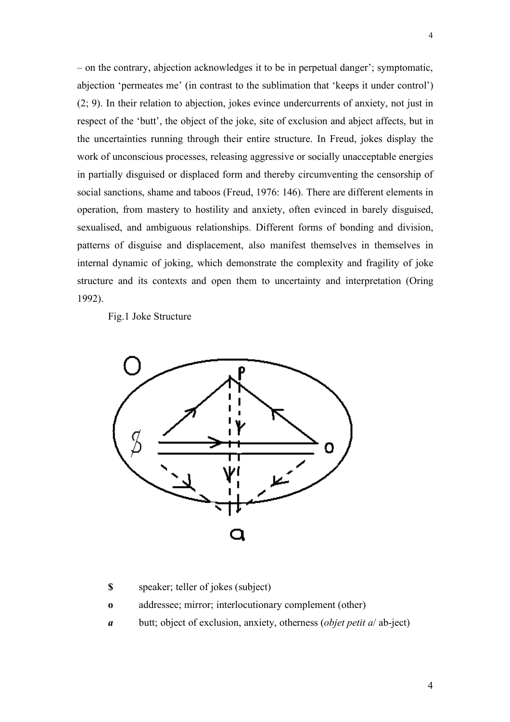– on the contrary, abjection acknowledges it to be in perpetual danger'; symptomatic, abjection 'permeates me' (in contrast to the sublimation that 'keeps it under control') (2; 9). In their relation to abjection, jokes evince undercurrents of anxiety, not just in respect of the 'butt', the object of the joke, site of exclusion and abject affects, but in the uncertainties running through their entire structure. In Freud, jokes display the work of unconscious processes, releasing aggressive or socially unacceptable energies in partially disguised or displaced form and thereby circumventing the censorship of social sanctions, shame and taboos (Freud, 1976: 146). There are different elements in operation, from mastery to hostility and anxiety, often evinced in barely disguised, sexualised, and ambiguous relationships. Different forms of bonding and division, patterns of disguise and displacement, also manifest themselves in themselves in internal dynamic of joking, which demonstrate the complexity and fragility of joke structure and its contexts and open them to uncertainty and interpretation (Oring 1992).

Fig.1 Joke Structure



**\$** speaker; teller of jokes (subject)

- **o** addressee; mirror; interlocutionary complement (other)
- *a* butt; object of exclusion, anxiety, otherness (*objet petit a*/ ab-ject)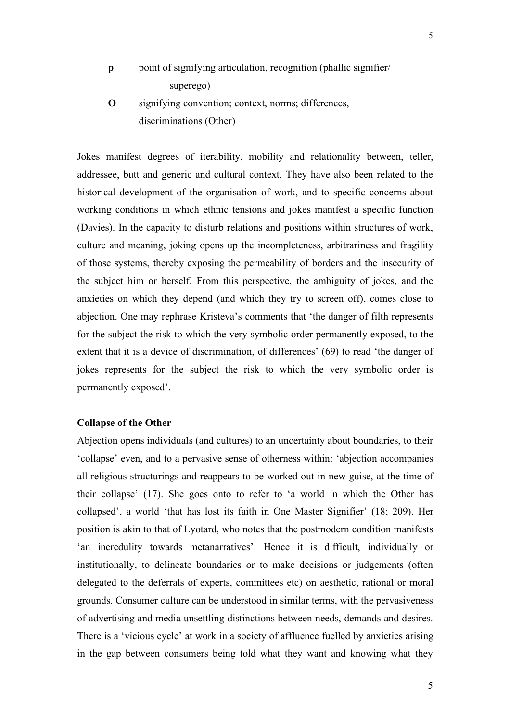- **p** point of signifying articulation, recognition (phallic signifier/ superego)
- **O** signifying convention; context, norms; differences, discriminations (Other)

Jokes manifest degrees of iterability, mobility and relationality between, teller, addressee, butt and generic and cultural context. They have also been related to the historical development of the organisation of work, and to specific concerns about working conditions in which ethnic tensions and jokes manifest a specific function (Davies). In the capacity to disturb relations and positions within structures of work, culture and meaning, joking opens up the incompleteness, arbitrariness and fragility of those systems, thereby exposing the permeability of borders and the insecurity of the subject him or herself. From this perspective, the ambiguity of jokes, and the anxieties on which they depend (and which they try to screen off), comes close to abjection. One may rephrase Kristeva's comments that 'the danger of filth represents for the subject the risk to which the very symbolic order permanently exposed, to the extent that it is a device of discrimination, of differences' (69) to read 'the danger of jokes represents for the subject the risk to which the very symbolic order is permanently exposed'.

# **Collapse of the Other**

Abjection opens individuals (and cultures) to an uncertainty about boundaries, to their 'collapse' even, and to a pervasive sense of otherness within: 'abjection accompanies all religious structurings and reappears to be worked out in new guise, at the time of their collapse' (17). She goes onto to refer to 'a world in which the Other has collapsed', a world 'that has lost its faith in One Master Signifier' (18; 209). Her position is akin to that of Lyotard, who notes that the postmodern condition manifests 'an incredulity towards metanarratives'. Hence it is difficult, individually or institutionally, to delineate boundaries or to make decisions or judgements (often delegated to the deferrals of experts, committees etc) on aesthetic, rational or moral grounds. Consumer culture can be understood in similar terms, with the pervasiveness of advertising and media unsettling distinctions between needs, demands and desires. There is a 'vicious cycle' at work in a society of affluence fuelled by anxieties arising in the gap between consumers being told what they want and knowing what they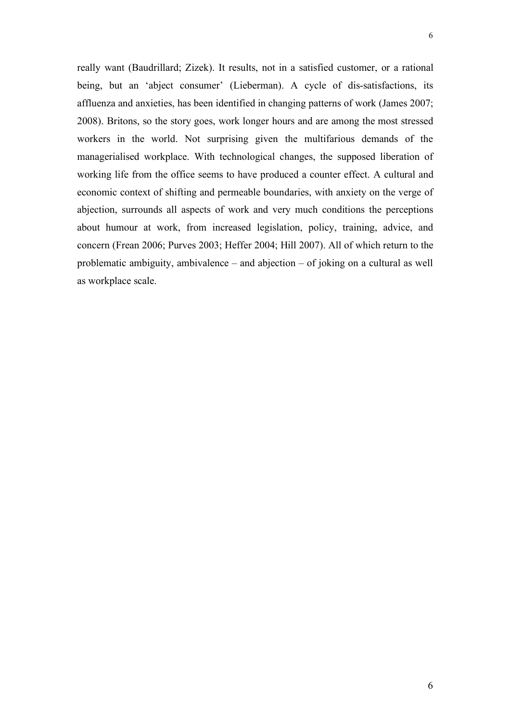really want (Baudrillard; Zizek). It results, not in a satisfied customer, or a rational being, but an 'abject consumer' (Lieberman). A cycle of dis-satisfactions, its affluenza and anxieties, has been identified in changing patterns of work (James 2007; 2008). Britons, so the story goes, work longer hours and are among the most stressed workers in the world. Not surprising given the multifarious demands of the managerialised workplace. With technological changes, the supposed liberation of working life from the office seems to have produced a counter effect. A cultural and economic context of shifting and permeable boundaries, with anxiety on the verge of abjection, surrounds all aspects of work and very much conditions the perceptions about humour at work, from increased legislation, policy, training, advice, and concern (Frean 2006; Purves 2003; Heffer 2004; Hill 2007). All of which return to the problematic ambiguity, ambivalence – and abjection – of joking on a cultural as well as workplace scale.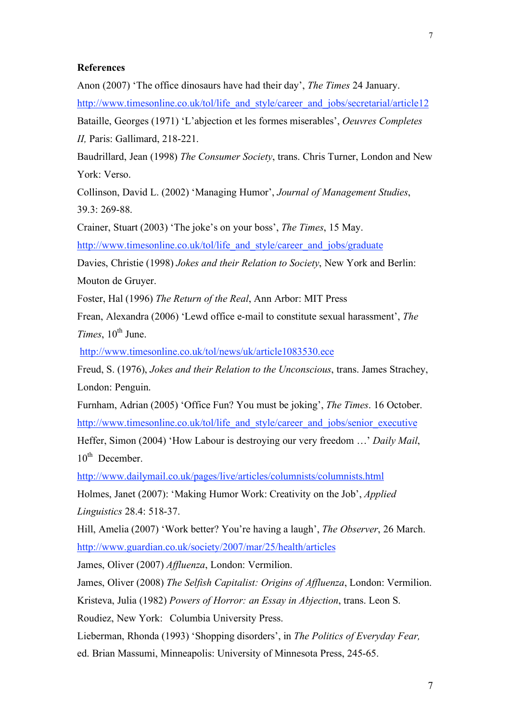#### **References**

Anon (2007) 'The office dinosaurs have had their day', *The Times* 24 January.

http://www.timesonline.co.uk/tol/life\_and\_style/career\_and\_jobs/secretarial/article12

Bataille, Georges (1971) 'L'abjection et les formes miserables', *Oeuvres Completes II,* Paris: Gallimard, 218-221.

Baudrillard, Jean (1998) *The Consumer Society*, trans. Chris Turner, London and New York: Verso.

Collinson, David L. (2002) 'Managing Humor', *Journal of Management Studies*, 39.3: 269-88.

Crainer, Stuart (2003) 'The joke's on your boss', *The Times*, 15 May.

http://www.timesonline.co.uk/tol/life\_and\_style/career\_and\_jobs/graduate

Davies, Christie (1998) *Jokes and their Relation to Society*, New York and Berlin: Mouton de Gruyer.

Foster, Hal (1996) *The Return of the Real*, Ann Arbor: MIT Press

Frean, Alexandra (2006) 'Lewd office e-mail to constitute sexual harassment', *The Times*,  $10^{th}$  June.

http://www.timesonline.co.uk/tol/news/uk/article1083530.ece

Freud, S. (1976), *Jokes and their Relation to the Unconscious*, trans. James Strachey, London: Penguin.

Furnham, Adrian (2005) 'Office Fun? You must be joking', *The Times*. 16 October. http://www.timesonline.co.uk/tol/life\_and\_style/career\_and\_jobs/senior\_executive Heffer, Simon (2004) 'How Labour is destroying our very freedom …' *Daily Mail*,  $10^{th}$  December.

http://www.dailymail.co.uk/pages/live/articles/columnists/columnists.html

Holmes, Janet (2007): 'Making Humor Work: Creativity on the Job', *Applied Linguistics* 28.4: 518-37.

Hill, Amelia (2007) 'Work better? You're having a laugh', *The Observer*, 26 March. http://www.guardian.co.uk/society/2007/mar/25/health/articles

James, Oliver (2007) *Affluenza*, London: Vermilion.

James, Oliver (2008) *The Selfish Capitalist: Origins of Affluenza*, London: Vermilion.

Kristeva, Julia (1982) *Powers of Horror: an Essay in Abjection*, trans. Leon S.

Roudiez, New York: Columbia University Press.

Lieberman, Rhonda (1993) 'Shopping disorders', in *The Politics of Everyday Fear,* 

ed. Brian Massumi, Minneapolis: University of Minnesota Press, 245-65.